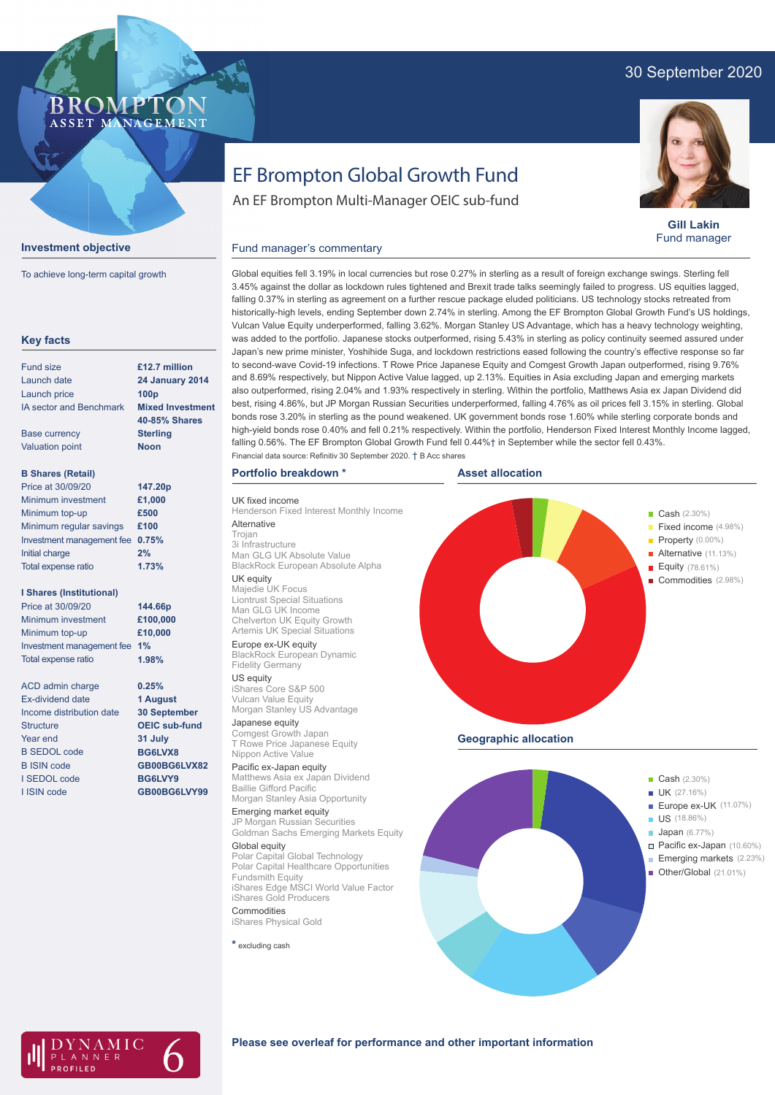## 30 September 2020

## **BROMPTO** ASSET MANAGEMENT



To achieve long-term capital growth

| <b>Key facts</b>                |                         |
|---------------------------------|-------------------------|
| <b>Fund size</b>                | £12.7 million           |
| Launch date                     | <b>24 January 2014</b>  |
| Launch price                    | 100 <sub>p</sub>        |
| <b>IA sector and Benchmark</b>  | <b>Mixed Investment</b> |
|                                 | <b>40-85% Shares</b>    |
| <b>Base currency</b>            | <b>Sterling</b>         |
| <b>Valuation point</b>          | <b>Noon</b>             |
| <b>B Shares (Retail)</b>        |                         |
| Price at 30/09/20               | 147.20p                 |
| Minimum investment              | £1,000                  |
| Minimum top-up                  | £500                    |
| Minimum regular savings         | £100                    |
| Investment management fee       | 0.75%                   |
| <b>Initial charge</b>           | 2%                      |
| <b>Total expense ratio</b>      | 1.73%                   |
| <b>I Shares (Institutional)</b> |                         |
| Price at 30/09/20               | 144.66p                 |
| Minimum investment              | £100,000                |
| Minimum top-up                  | £10,000                 |
| Investment management fee       | 1%                      |
| Total expense ratio             | 1.98%                   |
| <b>ACD admin charge</b>         | 0.25%                   |
| Ex-dividend date                | 1 August                |
| Income distribution date        | <b>30 September</b>     |
| <b>Structure</b>                | <b>OEIC sub-fund</b>    |
| Year end                        | 31 July                 |
| <b>B SEDOL code</b>             | BG6LVX8                 |
| <b>B ISIN code</b>              | GB00BG6LVX82            |
| <b>SEDOL</b> code               | BG6LVY9                 |
| I ISIN code                     | GB00BG6LVY99            |
|                                 |                         |
|                                 |                         |

# EF Brompton Global Growth Fund

An EF Brompton Multi-Manager OEIC sub-fund



**Gill Lakin** Fund manager

# Fund manager's commentary

Global equities fell 3.19% in local currencies but rose 0.27% in sterling as a result of foreign exchange swings. Sterling fell 3.45% against the dollar as lockdown rules tightened and Brexit trade talks seemingly failed to progress. US equities lagged, falling 0.37% in sterling as agreement on a further rescue package eluded politicians. US technology stocks retreated from historically-high levels, ending September down 2.74% in sterling. Among the EF Brompton Global Growth Fund's US holdings, Vulcan Value Equity underperformed, falling 3.62%. Morgan Stanley US Advantage, which has a heavy technology weighting, was added to the portfolio. Japanese stocks outperformed, rising 5.43% in sterling as policy continuity seemed assured under Japan's new prime minister, Yoshihide Suga, and lockdown restrictions eased following the country's effective response so far to second-wave Covid-19 infections. T Rowe Price Japanese Equity and Comgest Growth Japan outperformed, rising 9.76% and 8.69% respectively, but Nippon Active Value lagged, up 2.13%. Equities in Asia excluding Japan and emerging markets also outperformed, rising 2.04% and 1.93% respectively in sterling. Within the portfolio, Matthews Asia ex Japan Dividend did best, rising 4.86%, but JP Morgan Russian Securities underperformed, falling 4.76% as oil prices fell 3.15% in sterling. Global bonds rose 3.20% in sterling as the pound weakened. UK government bonds rose 1.60% while sterling corporate bonds and high-yield bonds rose 0.40% and fell 0.21% respectively. Within the portfolio, Henderson Fixed Interest Monthly Income lagged, falling 0.56%. The EF Brompton Global Growth Fund fell 0.44%† in September while the sector fell 0.43%. Financial data source: Refinitiv 30 September 2020. † B Acc shares

## **Portfolio breakdown \***

UK fixed income Henderson Fixed Interest Monthly Income Alternative Trojan

3i Infrastructure Man GLG UK Absolute Value BlackRock European Absolute Alpha UK equity

## Majedie UK Focus

Liontrust Special Situations Man GLG UK Income Chelverton UK Equity Growth Artemis UK Special Situations Europe ex-UK equity

BlackRock European Dynamic Fidelity Germany

## US equity

iShares Core S&P 500 Vulcan Value Equity Morgan Stanley US Advantage

Japanese equity Comgest Growth Japan T Rowe Price Japanese Equity Nippon Active Value

Pacific ex-Japan equity Matthews Asia ex Japan Dividend Baillie Gifford Pacific Morgan Stanley Asia Opportunity

Emerging market equity JP Morgan Russian Securities Goldman Sachs Emerging Markets Equity

Global equity Polar Capital Global Technology Polar Capital Healthcare Opportunities Fundsmith Equity iShares Edge MSCI World Value Factor

iShares Gold Producers **Commodities** iShares Physical Gold

**\*** excluding cash





 $\Delta MIC$ LANNER

## **Please see overleaf for performance and other important information**